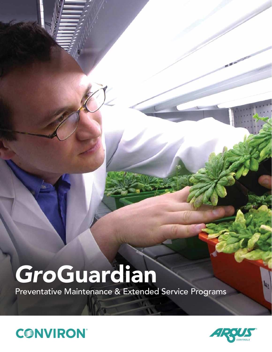# *Gro*Guardian

Preventative Maintenance & Extended Service Programs



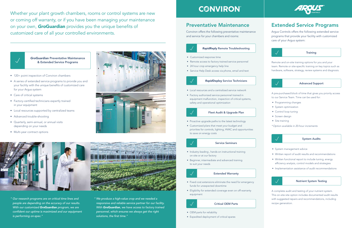*" Our research programs are on critical time lines and people are depending on the accuracy of our results. With our customized Gro*Guardian *program, we are*  confident our uptime is maximized and our equipment *is performing on-spec."* 





Whether your plant growth chambers, rooms or control systems are new or coming off warranty, or if you have been managing your maintenance on your own, *Gro*Guardian provides you the unique benefits of customized care of all your controlled environments.

> Remote and on-site training options for you and your team. Remote or site-specific training on key topics such as hardware, software, strategy, review systems and diagnosis.



#### Nutrient System Testing

A complete audit and testing of your nutrient system. This on-site site option includes documented audit results with suggested repairs and recommendations, including recipe generation.

#### Advanced Support

- 24 hour crop emergency help line
- Service Help Desk access via phone, email and text



A pre-purchased block of time that gives you priority access to our Service Team. Time can be used for:

- Programming changes
- System optimization
- Control loop tuning
- Screen design
- Site training

*\*Option available in 20-hour increments* 

System Audits

- System management advice
- Written report of audit results and recommendations
- Written functional report to include tuning, energy efficiency analysis, control models and strategies
- Implementation assistance of audit recommendations

#### *Rapid*Deploy Service Technicians

- 120+ point inspection of Conviron chambers
- A series of extended service programs to provide you and your facility with the unique benefits of customized care for your Argus system
- Care of critical systems
- Factory-certified technicians expertly trained in your equipment
- Local resources supported by centralized teams
- Advanced trouble-shooting
- Quarterly, semi-annual, or annual visits depending on your needs
- Multi-year contract options



- Local resources and a centralized service network
- Factory authorized service personnel trained in equipment malfunction, inspection of critical systems, safety and operational optimization



*Rapid*Reply Remote Troubleshooting • Customized response time • Remote access to factory trained service personnel

#### Fleet Audit & Upgrade Plan

- Proactive upgrade paths to the latest technology
- Customized plans that meet your budget and priorities for controls, lighting, HVAC and opportunities to save on energy costs

#### Service Seminars

- Industry-leading , hands-on instructional training on site or at our factory
- Beginner, intermediate and advanced training to suit your needs



#### Extended Warranty

- Fixed cost extensions eliminate the need for emergency funds for unexpected downtime
- Eligibility for extended coverage even on off-warranty equipment



#### Critical OEM Parts

- OEM parts for reliability
- Expedited deployment of critical spares





*" We produce a high-value crop and we needed a responsive and reliable service partner for our facility. With Gro*Guardian*, we have access to factory trained personnel, which ensures we always get the right*  solutions, the first time."

## **CONVIRON**

### Preventative Maintenance

Conviron offers the following preventative maintenance and service for your chambers and rooms:

### Extended Service Programs

Argus Controls offers the following extended service programs that provide your facility with customized care of your Argus system:



#### **Training**